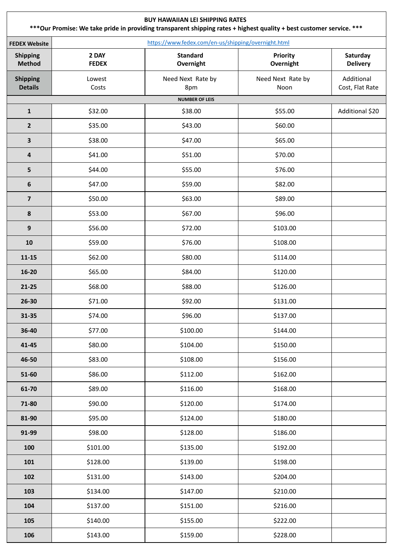| <b>BUY HAWAIIAN LEI SHIPPING RATES</b><br>*** Our Promise: We take pride in providing transparent shipping rates + highest quality + best customer service. *** |                       |                                                     |                              |                               |  |  |  |
|-----------------------------------------------------------------------------------------------------------------------------------------------------------------|-----------------------|-----------------------------------------------------|------------------------------|-------------------------------|--|--|--|
| <b>FEDEX Website</b>                                                                                                                                            |                       | https://www.fedex.com/en-us/shipping/overnight.html |                              |                               |  |  |  |
| <b>Shipping</b><br>Method                                                                                                                                       | 2 DAY<br><b>FEDEX</b> | <b>Standard</b><br>Overnight                        | <b>Priority</b><br>Overnight | Saturday<br><b>Delivery</b>   |  |  |  |
| <b>Shipping</b><br><b>Details</b>                                                                                                                               | Lowest<br>Costs       | Need Next Rate by<br>8pm                            | Need Next Rate by<br>Noon    | Additional<br>Cost, Flat Rate |  |  |  |
|                                                                                                                                                                 |                       | <b>NUMBER OF LEIS</b>                               |                              |                               |  |  |  |
| $\mathbf{1}$                                                                                                                                                    | \$32.00               | \$38.00                                             | \$55.00                      | Additional \$20               |  |  |  |
| $\overline{2}$                                                                                                                                                  | \$35.00               | \$43.00                                             | \$60.00                      |                               |  |  |  |
| 3                                                                                                                                                               | \$38.00               | \$47.00                                             | \$65.00                      |                               |  |  |  |
| 4                                                                                                                                                               | \$41.00               | \$51.00                                             | \$70.00                      |                               |  |  |  |
| 5                                                                                                                                                               | \$44.00               | \$55.00                                             | \$76.00                      |                               |  |  |  |
| 6                                                                                                                                                               | \$47.00               | \$59.00                                             | \$82.00                      |                               |  |  |  |
| $\overline{7}$                                                                                                                                                  | \$50.00               | \$63.00                                             | \$89.00                      |                               |  |  |  |
| 8                                                                                                                                                               | \$53.00               | \$67.00                                             | \$96.00                      |                               |  |  |  |
| 9                                                                                                                                                               | \$56.00               | \$72.00                                             | \$103.00                     |                               |  |  |  |
| 10                                                                                                                                                              | \$59.00               | \$76.00                                             | \$108.00                     |                               |  |  |  |
| $11 - 15$                                                                                                                                                       | \$62.00               | \$80.00                                             | \$114.00                     |                               |  |  |  |
| $16 - 20$                                                                                                                                                       | \$65.00               | \$84.00                                             | \$120.00                     |                               |  |  |  |
| $21 - 25$                                                                                                                                                       | \$68.00               | \$88.00                                             | \$126.00                     |                               |  |  |  |
| 26-30                                                                                                                                                           | \$71.00               | \$92.00                                             | \$131.00                     |                               |  |  |  |
| $31 - 35$                                                                                                                                                       | \$74.00               | \$96.00                                             | \$137.00                     |                               |  |  |  |
| 36-40                                                                                                                                                           | \$77.00               | \$100.00                                            | \$144.00                     |                               |  |  |  |
| 41-45                                                                                                                                                           | \$80.00               | \$104.00                                            | \$150.00                     |                               |  |  |  |
| 46-50                                                                                                                                                           | \$83.00               | \$108.00                                            | \$156.00                     |                               |  |  |  |
| 51-60                                                                                                                                                           | \$86.00               | \$112.00                                            | \$162.00                     |                               |  |  |  |
| 61-70                                                                                                                                                           | \$89.00               | \$116.00                                            | \$168.00                     |                               |  |  |  |
| 71-80                                                                                                                                                           | \$90.00               | \$120.00                                            | \$174.00                     |                               |  |  |  |
| 81-90                                                                                                                                                           | \$95.00               | \$124.00                                            | \$180.00                     |                               |  |  |  |
| 91-99                                                                                                                                                           | \$98.00               | \$128.00                                            | \$186.00                     |                               |  |  |  |
| 100                                                                                                                                                             | \$101.00              | \$135.00                                            | \$192.00                     |                               |  |  |  |
| 101                                                                                                                                                             | \$128.00              | \$139.00                                            | \$198.00                     |                               |  |  |  |
| 102                                                                                                                                                             | \$131.00              | \$143.00                                            | \$204.00                     |                               |  |  |  |
| 103                                                                                                                                                             | \$134.00              | \$147.00                                            | \$210.00                     |                               |  |  |  |
| 104                                                                                                                                                             | \$137.00              | \$151.00                                            | \$216.00                     |                               |  |  |  |
| 105                                                                                                                                                             | \$140.00              | \$155.00                                            | \$222.00                     |                               |  |  |  |
| 106                                                                                                                                                             | \$143.00              | \$159.00                                            | \$228.00                     |                               |  |  |  |

 $\sqrt{ }$